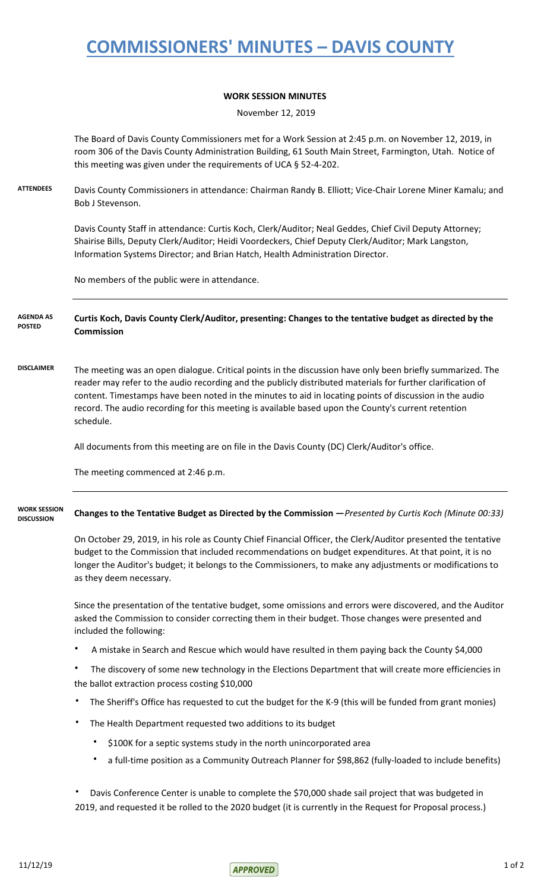## **COMMISSIONERS' MINUTES – DAVIS COUNTY**

## **WORK SESSION MINUTES**

November 12, 2019

The Board of Davis County Commissioners met for a Work Session at 2:45 p.m. on November 12, 2019, in room 306 of the Davis County Administration Building, 61 South Main Street, Farmington, Utah. Notice of this meeting was given under the requirements of UCA § 52-4-202.

**ATTENDEES** Davis County Commissioners in attendance: Chairman Randy B. Elliott; Vice-Chair Lorene Miner Kamalu; and Bob J Stevenson.

> Davis County Staff in attendance: Curtis Koch, Clerk/Auditor; Neal Geddes, Chief Civil Deputy Attorney; Shairise Bills, Deputy Clerk/Auditor; Heidi Voordeckers, Chief Deputy Clerk/Auditor; Mark Langston, Information Systems Director; and Brian Hatch, Health Administration Director.

No members of the public were in attendance.

**Curtis Koch, Davis County Clerk/Auditor, presenting: Changes to the tentative budget as directed by the Commission AGENDA AS POSTED**

**DISCLAIMER** The meeting was an open dialogue. Critical points in the discussion have only been briefly summarized. The reader may refer to the audio recording and the publicly distributed materials for further clarification of content. Timestamps have been noted in the minutes to aid in locating points of discussion in the audio record. The audio recording for this meeting is available based upon the County's current retention schedule.

All documents from this meeting are on file in the Davis County (DC) Clerk/Auditor's office.

The meeting commenced at 2:46 p.m.

**Changes to the Tentative Budget as Directed by the Commission —***Presented by Curtis Koch (Minute 00:33)* **WORK SESSION DISCUSSION**

> On October 29, 2019, in his role as County Chief Financial Officer, the Clerk/Auditor presented the tentative budget to the Commission that included recommendations on budget expenditures. At that point, it is no longer the Auditor's budget; it belongs to the Commissioners, to make any adjustments or modifications to as they deem necessary.

> Since the presentation of the tentative budget, some omissions and errors were discovered, and the Auditor asked the Commission to consider correcting them in their budget. Those changes were presented and included the following:

**·** A mistake in Search and Rescue which would have resulted in them paying back the County \$4,000

The discovery of some new technology in the Elections Department that will create more efficiencies in the ballot extraction process costing \$10,000

- **·** The Sheriff's Office has requested to cut the budget for the K-9 (this will be funded from grant monies)
- **·** The Health Department requested two additions to its budget
	- \$100K for a septic systems study in the north unincorporated area
	- a full-time position as a Community Outreach Planner for \$98,862 (fully-loaded to include benefits)

Davis Conference Center is unable to complete the \$70,000 shade sail project that was budgeted in 2019, and requested it be rolled to the 2020 budget (it is currently in the Request for Proposal process.)

 $11/12/19$  1 of 2